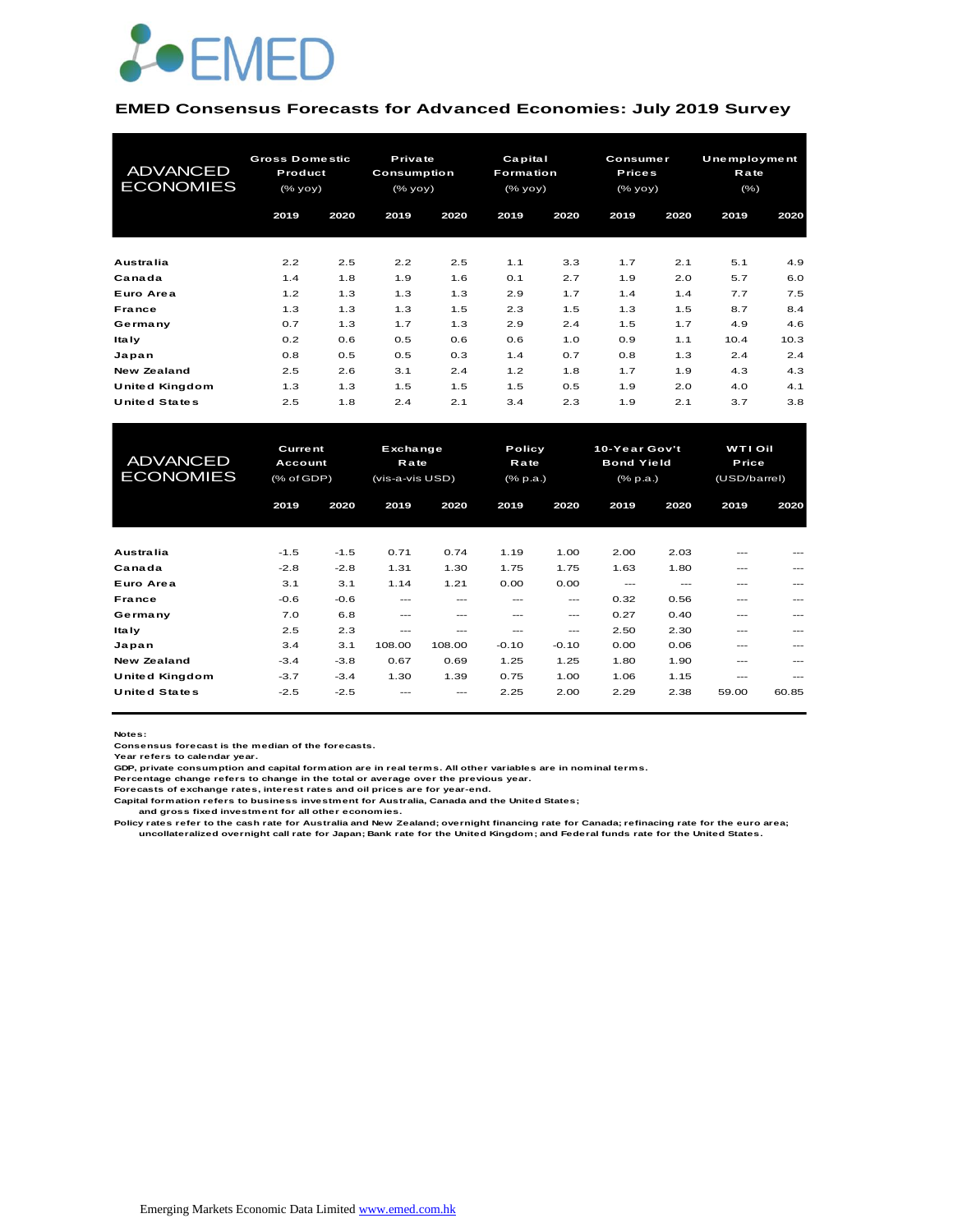

#### **EMED Consensus Forecasts for Advanced Economies: July 2019 Survey**

| <b>ADVANCED</b><br><b>ECONOMIES</b> | <b>Gross Domestic</b><br>Product<br>(% |      | Private<br>Consumption<br>(% |      | Capital<br>Formation<br>(% |      | <b>Consumer</b><br><b>Prices</b><br>(% |      | <b>Unemployment</b><br>Rate<br>(% ) |      |
|-------------------------------------|----------------------------------------|------|------------------------------|------|----------------------------|------|----------------------------------------|------|-------------------------------------|------|
|                                     | 2019                                   | 2020 | 2019                         | 2020 | 2019                       | 2020 | 2019                                   | 2020 | 2019                                | 2020 |
| <b>Australia</b>                    | 2.2                                    | 2.5  | 2.2                          | 2.5  | 1.1                        | 3.3  | 1.7                                    | 2.1  | 5.1                                 | 4.9  |
| Canada                              | 1.4                                    | 1.8  | 1.9                          | 1.6  | 0.1                        | 2.7  | 1.9                                    | 2.0  | 5.7                                 | 6.0  |
| Euro Area                           | 1.2                                    | 1.3  | 1.3                          | 1.3  | 2.9                        | 1.7  | 1.4                                    | 1.4  | 7.7                                 | 7.5  |
| <b>France</b>                       | 1.3                                    | 1.3  | 1.3                          | 1.5  | 2.3                        | 1.5  | 1.3                                    | 1.5  | 8.7                                 | 8.4  |
| Germany                             | 0.7                                    | 1.3  | 1.7                          | 1.3  | 2.9                        | 2.4  | 1.5                                    | 1.7  | 4.9                                 | 4.6  |
| <b>Italy</b>                        | 0.2                                    | 0.6  | 0.5                          | 0.6  | 0.6                        | 1.0  | 0.9                                    | 1.1  | 10.4                                | 10.3 |
| Japan                               | 0.8                                    | 0.5  | 0.5                          | 0.3  | 1.4                        | 0.7  | 0.8                                    | 1.3  | 2.4                                 | 2.4  |
| New Zealand                         | 2.5                                    | 2.6  | 3.1                          | 2.4  | 1.2                        | 1.8  | 1.7                                    | 1.9  | 4.3                                 | 4.3  |
| United Kingdom                      | 1.3                                    | 1.3  | 1.5                          | 1.5  | 1.5                        | 0.5  | 1.9                                    | 2.0  | 4.0                                 | 4.1  |
| <b>United States</b>                | 2.5                                    | 1.8  | 2.4                          | 2.1  | 3.4                        | 2.3  | 1.9                                    | 2.1  | 3.7                                 | 3.8  |

| United Kingdom                      | 1.3                                     | 1.3    | 1.5                                 | 1.5    | 1.5                               | 0.5     | 1.9                                              | 2.0     | 4.0                                     | 4.1     |
|-------------------------------------|-----------------------------------------|--------|-------------------------------------|--------|-----------------------------------|---------|--------------------------------------------------|---------|-----------------------------------------|---------|
| <b>United States</b>                | 2.5                                     | 1.8    | 2.4                                 | 2.1    | 3.4                               | 2.3     | 1.9                                              | 2.1     | 3.7                                     | 3.8     |
|                                     |                                         |        |                                     |        |                                   |         |                                                  |         |                                         |         |
| <b>ADVANCED</b><br><b>ECONOMIES</b> | <b>Current</b><br>Account<br>(% of GDP) |        | Exchange<br>Rate<br>(vis-a-vis USD) |        | Policy<br><b>Rate</b><br>(% p.a.) |         | 10-Year Gov't<br><b>Bond Yield</b><br>$(*$ p.a.) |         | <b>WTI Oil</b><br>Price<br>(USD/barrel) |         |
|                                     | 2019                                    | 2020   | 2019                                | 2020   | 2019                              | 2020    | 2019                                             | 2020    | 2019                                    | 2020    |
|                                     |                                         |        |                                     |        |                                   |         |                                                  |         |                                         |         |
| <b>Australia</b>                    | $-1.5$                                  | $-1.5$ | 0.71                                | 0.74   | 1.19                              | 1.00    | 2.00                                             | 2.03    |                                         |         |
| Canada                              | $-2.8$                                  | $-2.8$ | 1.31                                | 1.30   | 1.75                              | 1.75    | 1.63                                             | 1.80    | ---                                     | $- - -$ |
| Euro Area                           | 3.1                                     | 3.1    | 1.14                                | 1.21   | 0.00                              | 0.00    | $- - -$                                          | $- - -$ | ---                                     | $- - -$ |
| France                              | $-0.6$                                  | $-0.6$ | ---                                 | ---    | $- - -$                           | $- - -$ | 0.32                                             | 0.56    | ---                                     | $- - -$ |
| Germany                             | 7.0                                     | 6.8    | ---                                 | ---    | $- - -$                           | $- - -$ | 0.27                                             | 0.40    | ---                                     | $- - -$ |
| Ita Iy                              | 2.5                                     | 2.3    | ---                                 | ---    | ---                               | $---$   | 2.50                                             | 2.30    | ---                                     | $---$   |
| Japan                               | 3.4                                     | 3.1    | 108.00                              | 108.00 | $-0.10$                           | $-0.10$ | 0.00                                             | 0.06    | ---                                     | ---     |
| <b>New Zealand</b>                  | $-3.4$                                  | $-3.8$ | 0.67                                | 0.69   | 1.25                              | 1.25    | 1.80                                             | 1.90    | ---                                     |         |
| United Kingdom                      | $-3.7$                                  | $-3.4$ | 1.30                                | 1.39   | 0.75                              | 1.00    | 1.06                                             | 1.15    | ---                                     | ---     |
| <b>United States</b>                | $-2.5$                                  | $-2.5$ |                                     | ---    | 2.25                              | 2.00    | 2.29                                             | 2.38    | 59.00                                   | 60.85   |

**Notes:** 

**Consensus forecast is the median of the forecasts. Year refers to calendar year.**

**GDP, private consumption and capital formation are in real terms. All other variables are in nominal terms.**

**Percentage change refers to change in the total or average over the previous year. Forecasts of exchange rates, interest rates and oil prices are for year-end.**

**Capital formation refers to business investment for Australia, Canada and the United States;**

 **and gross fixed investment for all other economies.**

Policy rates refer to the cash rate for Australia and New Zealand; overnight financing rate for Canada; refinacing rate for the euro area;<br>uncollateralized overnight call rate for Japan; Bank rate for the United Kingdom; a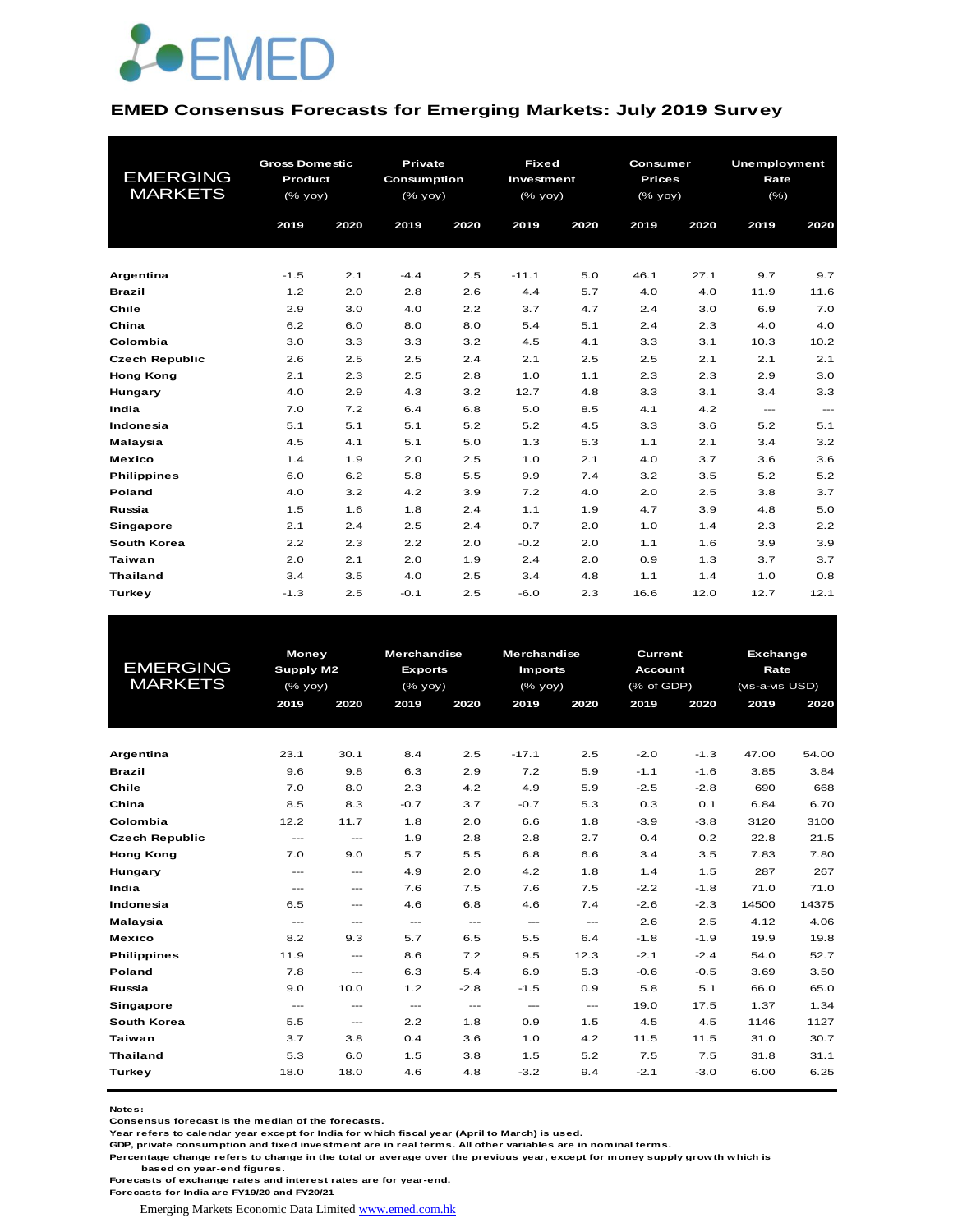

#### **EMED Consensus Forecasts for Emerging Markets: July 2019 Survey**

| <b>EMERGING</b><br><b>MARKETS</b> | <b>Gross Domestic</b><br>Product<br>(% yoy) |      | Private<br>Consumption<br>(% yoy) |            | <b>Fixed</b><br>Investment<br>(% yoy) |            | Consumer<br><b>Prices</b><br>$(%$ (% yoy) |            | <b>Unemployment</b><br>Rate<br>$(\% )$ | 2020                     |  |
|-----------------------------------|---------------------------------------------|------|-----------------------------------|------------|---------------------------------------|------------|-------------------------------------------|------------|----------------------------------------|--------------------------|--|
|                                   | 2019                                        | 2020 | 2019                              | 2020       | 2019                                  | 2020       | 2019                                      | 2020       | 2019                                   |                          |  |
|                                   | $-1.5$                                      | 2.1  | $-4.4$                            |            | $-11.1$                               |            | 46.1                                      | 27.1       | 9.7                                    |                          |  |
| Argentina                         |                                             | 2.0  |                                   | 2.5        |                                       | 5.0<br>5.7 | 4.0                                       |            | 11.9                                   | 9.7                      |  |
| <b>Brazil</b><br>Chile            | 1.2<br>2.9                                  | 3.0  | 2.8<br>4.0                        | 2.6<br>2.2 | 4.4<br>3.7                            | 4.7        | 2.4                                       | 4.0<br>3.0 | 6.9                                    | 11.6<br>7.0              |  |
| China                             | 6.2                                         | 6.0  | 8.0                               | 8.0        | 5.4                                   | 5.1        | 2.4                                       | 2.3        | 4.0                                    | 4.0                      |  |
| Colombia                          | 3.0                                         | 3.3  | 3.3                               | 3.2        | 4.5                                   | 4.1        | 3.3                                       | 3.1        | 10.3                                   | 10.2                     |  |
| <b>Czech Republic</b>             | 2.6                                         | 2.5  | 2.5                               | 2.4        | 2.1                                   | 2.5        | 2.5                                       | 2.1        | 2.1                                    | 2.1                      |  |
| <b>Hong Kong</b>                  | 2.1                                         | 2.3  | 2.5                               | 2.8        | 1.0                                   | 1.1        | 2.3                                       | 2.3        | 2.9                                    | 3.0                      |  |
| Hungary                           | 4.0                                         | 2.9  | 4.3                               | 3.2        | 12.7                                  | 4.8        | 3.3                                       | 3.1        | 3.4                                    | 3.3                      |  |
| India                             | 7.0                                         | 7.2  | 6.4                               | 6.8        | 5.0                                   | 8.5        | 4.1                                       | 4.2        | $\cdots$                               | $\hspace{0.05cm} \ldots$ |  |
| Indonesia                         | 5.1                                         | 5.1  | 5.1                               | 5.2        | 5.2                                   | 4.5        | 3.3                                       | 3.6        | 5.2                                    | 5.1                      |  |
| Malaysia                          | 4.5                                         | 4.1  | 5.1                               | 5.0        | 1.3                                   | 5.3        | 1.1                                       | 2.1        | 3.4                                    | 3.2                      |  |
| <b>Mexico</b>                     | 1.4                                         | 1.9  | 2.0                               | 2.5        | 1.0                                   | 2.1        | 4.0                                       | 3.7        | 3.6                                    | 3.6                      |  |
| <b>Philippines</b>                | 6.0                                         | 6.2  | 5.8                               | 5.5        | 9.9                                   | 7.4        | 3.2                                       | 3.5        | 5.2                                    | 5.2                      |  |
| Poland                            | 4.0                                         | 3.2  | 4.2                               | 3.9        | 7.2                                   | 4.0        | 2.0                                       | 2.5        | 3.8                                    | 3.7                      |  |
| Russia                            | 1.5                                         | 1.6  | 1.8                               | 2.4        | 1.1                                   | 1.9        | 4.7                                       | 3.9        | 4.8                                    | 5.0                      |  |
| <b>Singapore</b>                  | 2.1                                         | 2.4  | 2.5                               | 2.4        | 0.7                                   | 2.0        | 1.0                                       | 1.4        | 2.3                                    | 2.2                      |  |
| South Korea                       | 2.2                                         | 2.3  | 2.2                               | 2.0        | $-0.2$                                | 2.0        | 1.1                                       | 1.6        | 3.9                                    | 3.9                      |  |
| <b>Taiwan</b>                     | 2.0                                         | 2.1  | 2.0                               | 1.9        | 2.4                                   | 2.0        | 0.9                                       | 1.3        | 3.7                                    | 3.7                      |  |
| <b>Thailand</b>                   | 3.4                                         | 3.5  | 4.0                               | 2.5        | 3.4                                   | 4.8        | 1.1                                       | 1.4        | 1.0                                    | 0.8                      |  |
| Turkey                            | $-1.3$                                      | 2.5  | $-0.1$                            | 2.5        | $-6.0$                                | 2.3        | 16.6                                      | 12.0       | 12.7                                   | 12.1                     |  |

|                       | <b>Money</b>                        |                                     | <b>Merchandise</b> |                                          | <b>Merchandise</b>   |                                          | Current        |        |                                                                                                                             |       |
|-----------------------|-------------------------------------|-------------------------------------|--------------------|------------------------------------------|----------------------|------------------------------------------|----------------|--------|-----------------------------------------------------------------------------------------------------------------------------|-------|
| <b>EMERGING</b>       | Supply M2                           |                                     | <b>Exports</b>     |                                          | <b>Imports</b>       |                                          | <b>Account</b> |        | Exchange<br>Rate<br>(vis-a-vis USD)<br>2019<br>47.00<br>3.85<br>690<br>6.84<br>3120<br>22.8<br>7.83<br>287<br>71.0<br>14500 |       |
| <b>MARKETS</b>        | (% yoy)                             |                                     | $(%$ (% yoy)       |                                          | $(%$ $\mathsf{yoy})$ |                                          | (% of GDP)     |        |                                                                                                                             |       |
|                       | 2019                                | 2020                                | 2019               | 2020                                     | 2019                 | 2020                                     | 2019           | 2020   |                                                                                                                             | 2020  |
|                       |                                     |                                     |                    |                                          |                      |                                          |                |        |                                                                                                                             |       |
|                       |                                     |                                     |                    |                                          |                      |                                          |                |        |                                                                                                                             |       |
| Argentina             | 23.1                                | 30.1                                | 8.4                | 2.5                                      | $-17.1$              | 2.5                                      | $-2.0$         | $-1.3$ |                                                                                                                             | 54.00 |
| <b>Brazil</b>         | 9.6                                 | 9.8                                 | 6.3                | 2.9                                      | 7.2                  | 5.9                                      | $-1.1$         | $-1.6$ |                                                                                                                             | 3.84  |
| Chile                 | 7.0                                 | 8.0                                 | 2.3                | 4.2                                      | 4.9                  | 5.9                                      | $-2.5$         | $-2.8$ |                                                                                                                             | 668   |
| China                 | 8.5                                 | 8.3                                 | $-0.7$             | 3.7                                      | $-0.7$               | 5.3                                      | 0.3            | 0.1    |                                                                                                                             | 6.70  |
| Colombia              | 12.2                                | 11.7                                | 1.8                | 2.0                                      | 6.6                  | 1.8                                      | $-3.9$         | $-3.8$ |                                                                                                                             | 3100  |
| <b>Czech Republic</b> | $---$                               | $---$                               | 1.9                | 2.8                                      | 2.8                  | 2.7                                      | 0.4            | 0.2    |                                                                                                                             | 21.5  |
| <b>Hong Kong</b>      | 7.0                                 | 9.0                                 | 5.7                | 5.5                                      | 6.8                  | 6.6                                      | 3.4            | 3.5    |                                                                                                                             | 7.80  |
| Hungary               | $\cdots$                            | $\qquad \qquad -$                   | 4.9                | 2.0                                      | 4.2                  | 1.8                                      | 1.4            | 1.5    |                                                                                                                             | 267   |
| India                 | $\cdots$                            | $\cdots$                            | 7.6                | 7.5                                      | 7.6                  | 7.5                                      | $-2.2$         | $-1.8$ |                                                                                                                             | 71.0  |
| Indonesia             | 6.5                                 | $\sim$ $\sim$ $\sim$                | 4.6                | 6.8                                      | 4.6                  | 7.4                                      | $-2.6$         | $-2.3$ |                                                                                                                             | 14375 |
| Malaysia              | $\sim$ $\sim$ $\sim$                | $\sim$ $\sim$ $\sim$                | $\sim$ $\sim$      | $\hspace{0.05cm} \ldots \hspace{0.05cm}$ | $\cdots$             | $\hspace{0.05cm} \ldots \hspace{0.05cm}$ | 2.6            | 2.5    | 4.12                                                                                                                        | 4.06  |
| <b>Mexico</b>         | 8.2                                 | 9.3                                 | 5.7                | 6.5                                      | 5.5                  | 6.4                                      | $-1.8$         | $-1.9$ | 19.9                                                                                                                        | 19.8  |
| <b>Philippines</b>    | 11.9                                | $\sim$ $\sim$ $\sim$                | 8.6                | 7.2                                      | 9.5                  | 12.3                                     | $-2.1$         | $-2.4$ | 54.0                                                                                                                        | 52.7  |
| Poland                | 7.8                                 | $\cdots$                            | 6.3                | 5.4                                      | 6.9                  | 5.3                                      | $-0.6$         | $-0.5$ | 3.69                                                                                                                        | 3.50  |
| Russia                | 9.0                                 | 10.0                                | 1.2                | $-2.8$                                   | $-1.5$               | 0.9                                      | 5.8            | 5.1    | 66.0                                                                                                                        | 65.0  |
| Singapore             | $\hspace{0.05cm}---\hspace{0.05cm}$ | $\hspace{0.05cm}---\hspace{0.05cm}$ | $\sim$ $\sim$      | $\hspace{0.05cm} \ldots \hspace{0.05cm}$ | $\cdots$             | $\hspace{0.05cm} \ldots$                 | 19.0           | 17.5   | 1.37                                                                                                                        | 1.34  |
| South Korea           | 5.5                                 | $\qquad \qquad -$                   | 2.2                | 1.8                                      | 0.9                  | 1.5                                      | 4.5            | 4.5    | 1146                                                                                                                        | 1127  |
| Taiwan                | 3.7                                 | 3.8                                 | 0.4                | 3.6                                      | 1.0                  | 4.2                                      | 11.5           | 11.5   | 31.0                                                                                                                        | 30.7  |
| <b>Thailand</b>       | 5.3                                 | 6.0                                 | 1.5                | 3.8                                      | 1.5                  | 5.2                                      | 7.5            | 7.5    | 31.8                                                                                                                        | 31.1  |
| Turkey                | 18.0                                | 18.0                                | 4.6                | 4.8                                      | $-3.2$               | 9.4                                      | $-2.1$         | $-3.0$ | 6.00                                                                                                                        | 6.25  |
|                       |                                     |                                     |                    |                                          |                      |                                          |                |        |                                                                                                                             |       |

**Notes:** 

**Consensus forecast is the median of the forecasts.**

**Year refers to calendar year except for India for which fiscal year (April to March) is used.**

**GDP, private consumption and fixed investment are in real terms. All other variables are in nominal terms.**

**Percentage change refers to change in the total or average over the previous year, except for money supply growth which is based on year-end figures.**

**Forecasts of exchange rates and interest rates are for year-end.**

**Forecasts for India are FY19/20 and FY20/21**

Emerging Markets Economic Data Limited www.emed.com.hk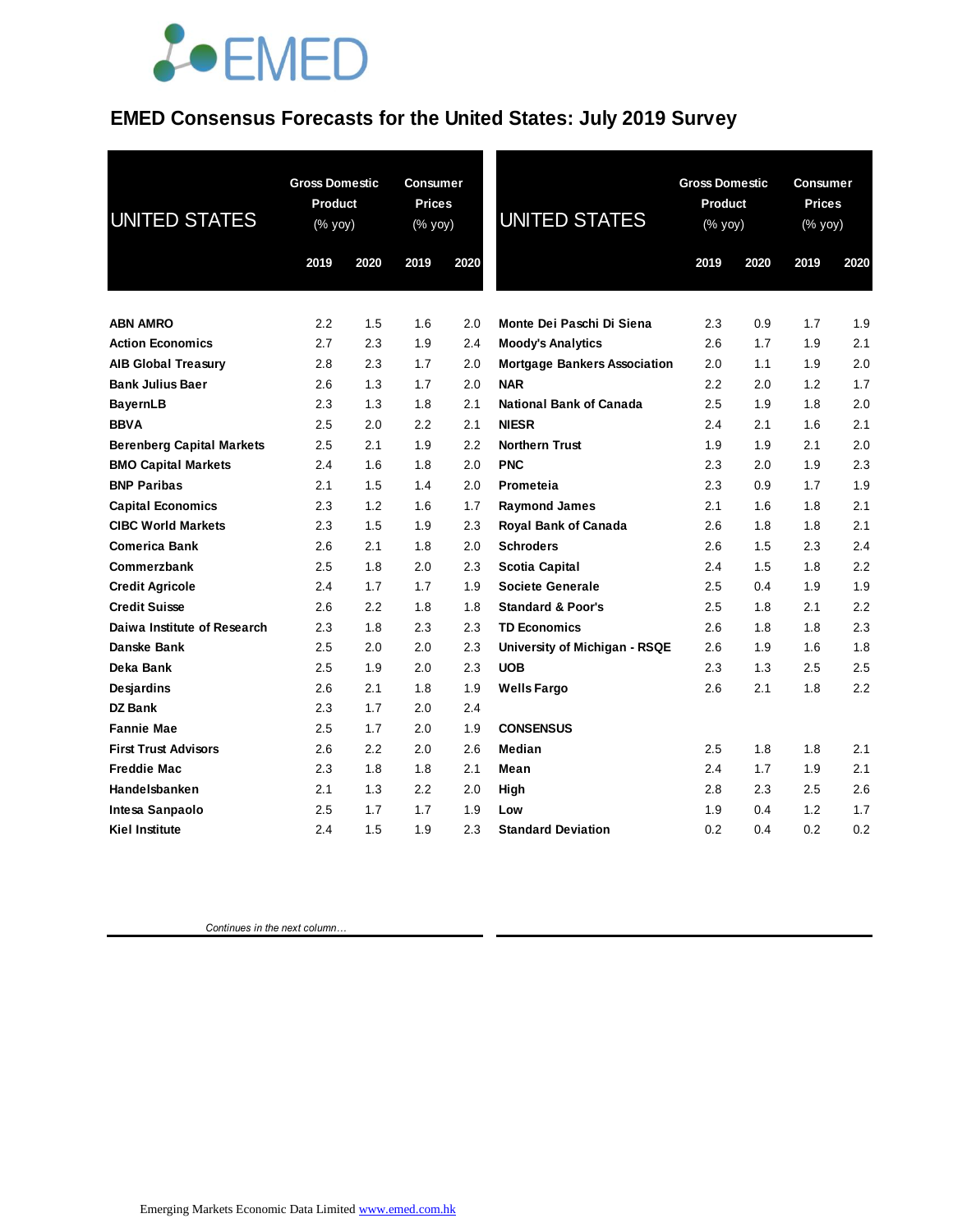#### **EMED Consensus Forecasts for the United States: July 2019 Survey**

| <b>UNITED STATES</b>             | <b>Gross Domestic</b><br>Product<br>(% yoy) |      | Consumer<br><b>Prices</b><br>(% yoy) |      | <b>UNITED STATES</b>                | <b>Gross Domestic</b><br>Product<br>(% yoy) |      | Consumer<br><b>Prices</b><br>(% yoy) |      |
|----------------------------------|---------------------------------------------|------|--------------------------------------|------|-------------------------------------|---------------------------------------------|------|--------------------------------------|------|
|                                  | 2019                                        | 2020 | 2019                                 | 2020 |                                     | 2019                                        | 2020 | 2019                                 | 2020 |
| <b>ABN AMRO</b>                  | 2.2                                         | 1.5  | 1.6                                  | 2.0  | Monte Dei Paschi Di Siena           | 2.3                                         | 0.9  | 1.7                                  | 1.9  |
| <b>Action Economics</b>          | 2.7                                         | 2.3  | 1.9                                  | 2.4  | <b>Moody's Analytics</b>            | 2.6                                         | 1.7  | 1.9                                  | 2.1  |
| <b>AIB Global Treasury</b>       | 2.8                                         | 2.3  | 1.7                                  | 2.0  | <b>Mortgage Bankers Association</b> | 2.0                                         | 1.1  | 1.9                                  | 2.0  |
| <b>Bank Julius Baer</b>          | 2.6                                         | 1.3  | 1.7                                  | 2.0  | <b>NAR</b>                          | 2.2                                         | 2.0  | 1.2                                  | 1.7  |
| <b>BayernLB</b>                  | 2.3                                         | 1.3  | 1.8                                  | 2.1  | <b>National Bank of Canada</b>      | 2.5                                         | 1.9  | 1.8                                  | 2.0  |
| <b>BBVA</b>                      | 2.5                                         | 2.0  | 2.2                                  | 2.1  | <b>NIESR</b>                        | 2.4                                         | 2.1  | 1.6                                  | 2.1  |
| <b>Berenberg Capital Markets</b> | 2.5                                         | 2.1  | 1.9                                  | 2.2  | <b>Northern Trust</b>               | 1.9                                         | 1.9  | 2.1                                  | 2.0  |
| <b>BMO Capital Markets</b>       | 2.4                                         | 1.6  | 1.8                                  | 2.0  | <b>PNC</b>                          | 2.3                                         | 2.0  | 1.9                                  | 2.3  |
| <b>BNP Paribas</b>               | 2.1                                         | 1.5  | 1.4                                  | 2.0  | Prometeia                           | 2.3                                         | 0.9  | 1.7                                  | 1.9  |
| <b>Capital Economics</b>         | 2.3                                         | 1.2  | 1.6                                  | 1.7  | <b>Raymond James</b>                | 2.1                                         | 1.6  | 1.8                                  | 2.1  |
| <b>CIBC World Markets</b>        | 2.3                                         | 1.5  | 1.9                                  | 2.3  | <b>Royal Bank of Canada</b>         | 2.6                                         | 1.8  | 1.8                                  | 2.1  |
| <b>Comerica Bank</b>             | 2.6                                         | 2.1  | 1.8                                  | 2.0  | <b>Schroders</b>                    | 2.6                                         | 1.5  | 2.3                                  | 2.4  |
| Commerzbank                      | 2.5                                         | 1.8  | 2.0                                  | 2.3  | <b>Scotia Capital</b>               | 2.4                                         | 1.5  | 1.8                                  | 2.2  |
| <b>Credit Agricole</b>           | 2.4                                         | 1.7  | 1.7                                  | 1.9  | <b>Societe Generale</b>             | 2.5                                         | 0.4  | 1.9                                  | 1.9  |
| <b>Credit Suisse</b>             | 2.6                                         | 2.2  | 1.8                                  | 1.8  | <b>Standard &amp; Poor's</b>        | 2.5                                         | 1.8  | 2.1                                  | 2.2  |
| Daiwa Institute of Research      | 2.3                                         | 1.8  | 2.3                                  | 2.3  | <b>TD Economics</b>                 | 2.6                                         | 1.8  | 1.8                                  | 2.3  |
| Danske Bank                      | 2.5                                         | 2.0  | 2.0                                  | 2.3  | University of Michigan - RSQE       | 2.6                                         | 1.9  | 1.6                                  | 1.8  |
| Deka Bank                        | 2.5                                         | 1.9  | 2.0                                  | 2.3  | <b>UOB</b>                          | 2.3                                         | 1.3  | 2.5                                  | 2.5  |
| <b>Desjardins</b>                | 2.6                                         | 2.1  | 1.8                                  | 1.9  | <b>Wells Fargo</b>                  | 2.6                                         | 2.1  | 1.8                                  | 2.2  |
| <b>DZ Bank</b>                   | 2.3                                         | 1.7  | 2.0                                  | 2.4  |                                     |                                             |      |                                      |      |
| <b>Fannie Mae</b>                | 2.5                                         | 1.7  | 2.0                                  | 1.9  | <b>CONSENSUS</b>                    |                                             |      |                                      |      |
| <b>First Trust Advisors</b>      | 2.6                                         | 2.2  | 2.0                                  | 2.6  | Median                              | 2.5                                         | 1.8  | 1.8                                  | 2.1  |
| <b>Freddie Mac</b>               | 2.3                                         | 1.8  | 1.8                                  | 2.1  | Mean                                | 2.4                                         | 1.7  | 1.9                                  | 2.1  |
| Handelsbanken                    | 2.1                                         | 1.3  | $2.2\,$                              | 2.0  | High                                | 2.8                                         | 2.3  | 2.5                                  | 2.6  |
| Intesa Sanpaolo                  | 2.5                                         | 1.7  | 1.7                                  | 1.9  | Low                                 | 1.9                                         | 0.4  | 1.2                                  | 1.7  |
| Kiel Institute                   | 2.4                                         | 1.5  | 1.9                                  | 2.3  | <b>Standard Deviation</b>           | 0.2                                         | 0.4  | 0.2                                  | 0.2  |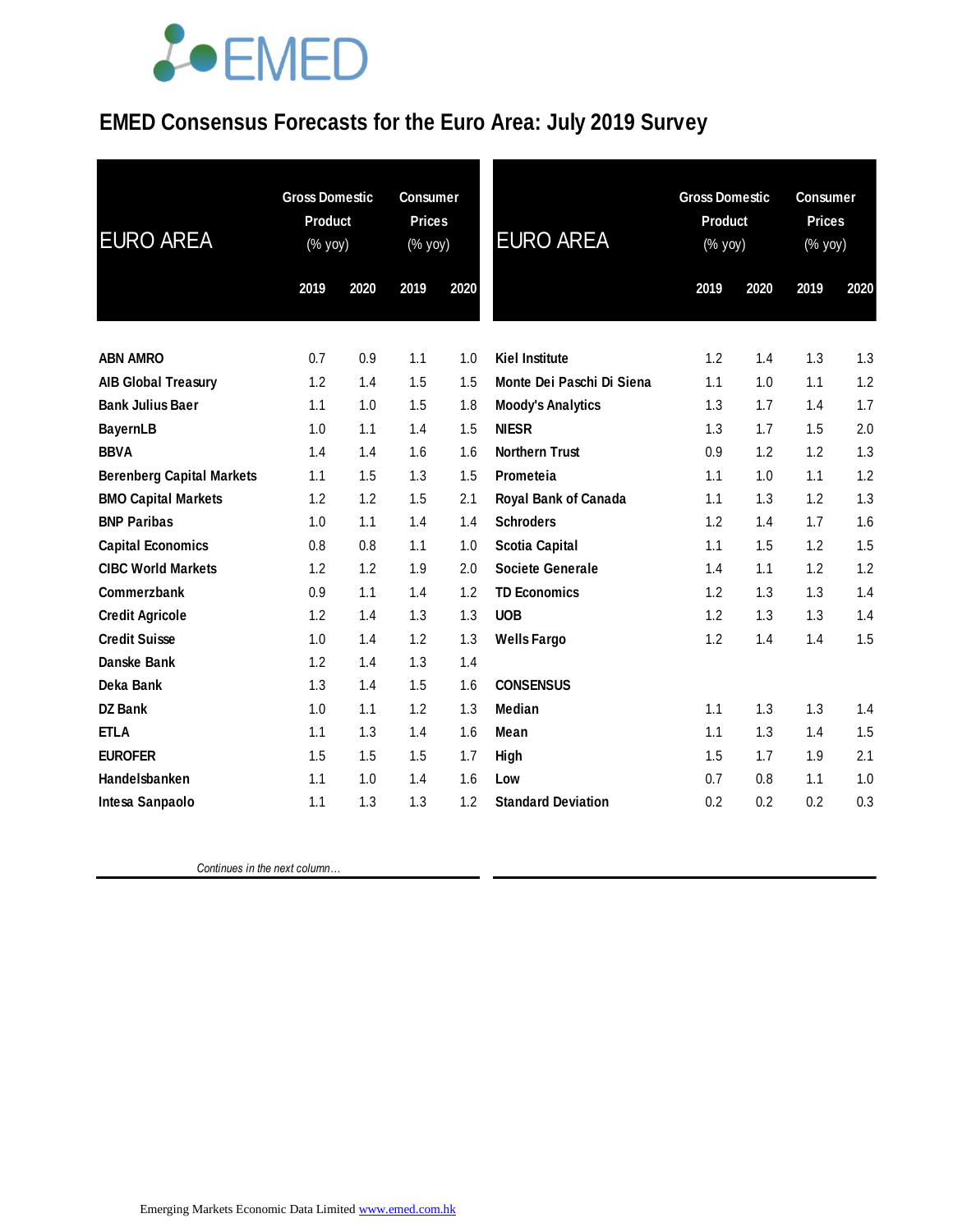### **EMED Consensus Forecasts for the Euro Area: July 2019 Survey**

| <b>EURO AREA</b>                 | <b>Gross Domestic</b><br><b>Product</b><br>(% yoy) |      | <b>Consumer</b><br><b>Prices</b><br>(% yoy) |      | <b>EURO AREA</b>            | <b>Gross Domestic</b><br><b>Product</b><br>(% yoy) |      | <b>Consumer</b><br><b>Prices</b><br>(% yoy) |      |
|----------------------------------|----------------------------------------------------|------|---------------------------------------------|------|-----------------------------|----------------------------------------------------|------|---------------------------------------------|------|
|                                  | 2019                                               | 2020 | 2019                                        | 2020 |                             | 2019                                               | 2020 | 2019                                        | 2020 |
| <b>ABN AMRO</b>                  | 0.7                                                | 0.9  | 1.1                                         | 1.0  | <b>Kiel Institute</b>       | 1.2                                                | 1.4  | 1.3                                         | 1.3  |
| <b>AIB Global Treasury</b>       | 1.2                                                | 1.4  | 1.5                                         | 1.5  | Monte Dei Paschi Di Siena   | 1.1                                                | 1.0  | 1.1                                         | 1.2  |
| <b>Bank Julius Baer</b>          | 1.1                                                | 1.0  | 1.5                                         | 1.8  | <b>Moody's Analytics</b>    | 1.3                                                | 1.7  | 1.4                                         | 1.7  |
| <b>BayernLB</b>                  | 1.0                                                | 1.1  | 1.4                                         | 1.5  | <b>NIESR</b>                | 1.3                                                | 1.7  | 1.5                                         | 2.0  |
| <b>BBVA</b>                      | 1.4                                                | 1.4  | 1.6                                         | 1.6  | <b>Northern Trust</b>       | 0.9                                                | 1.2  | 1.2                                         | 1.3  |
| <b>Berenberg Capital Markets</b> | 1.1                                                | 1.5  | 1.3                                         | 1.5  | Prometeia                   | 1.1                                                | 1.0  | 1.1                                         | 1.2  |
| <b>BMO Capital Markets</b>       | 1.2                                                | 1.2  | 1.5                                         | 2.1  | <b>Royal Bank of Canada</b> | 1.1                                                | 1.3  | 1.2                                         | 1.3  |
| <b>BNP Paribas</b>               | 1.0                                                | 1.1  | 1.4                                         | 1.4  | <b>Schroders</b>            | 1.2                                                | 1.4  | 1.7                                         | 1.6  |
| <b>Capital Economics</b>         | 0.8                                                | 0.8  | 1.1                                         | 1.0  | <b>Scotia Capital</b>       | 1.1                                                | 1.5  | 1.2                                         | 1.5  |
| <b>CIBC World Markets</b>        | 1.2                                                | 1.2  | 1.9                                         | 2.0  | <b>Societe Generale</b>     | 1.4                                                | 1.1  | 1.2                                         | 1.2  |
| Commerzbank                      | 0.9                                                | 1.1  | 1.4                                         | 1.2  | <b>TD Economics</b>         | 1.2                                                | 1.3  | 1.3                                         | 1.4  |
| <b>Credit Agricole</b>           | 1.2                                                | 1.4  | 1.3                                         | 1.3  | <b>UOB</b>                  | 1.2                                                | 1.3  | 1.3                                         | 1.4  |
| <b>Credit Suisse</b>             | 1.0                                                | 1.4  | 1.2                                         | 1.3  | <b>Wells Fargo</b>          | 1.2                                                | 1.4  | 1.4                                         | 1.5  |
| Danske Bank                      | 1.2                                                | 1.4  | 1.3                                         | 1.4  |                             |                                                    |      |                                             |      |
| Deka Bank                        | 1.3                                                | 1.4  | 1.5                                         | 1.6  | <b>CONSENSUS</b>            |                                                    |      |                                             |      |
| <b>DZ Bank</b>                   | 1.0                                                | 1.1  | 1.2                                         | 1.3  | <b>Median</b>               | 1.1                                                | 1.3  | 1.3                                         | 1.4  |
| <b>ETLA</b>                      | 1.1                                                | 1.3  | 1.4                                         | 1.6  | Mean                        | 1.1                                                | 1.3  | 1.4                                         | 1.5  |
| <b>EUROFER</b>                   | 1.5                                                | 1.5  | 1.5                                         | 1.7  | High                        | 1.5                                                | 1.7  | 1.9                                         | 2.1  |
| Handelsbanken                    | 1.1                                                | 1.0  | 1.4                                         | 1.6  | Low                         | 0.7                                                | 0.8  | 1.1                                         | 1.0  |
| Intesa Sanpaolo                  | 1.1                                                | 1.3  | 1.3                                         | 1.2  | <b>Standard Deviation</b>   | 0.2                                                | 0.2  | 0.2                                         | 0.3  |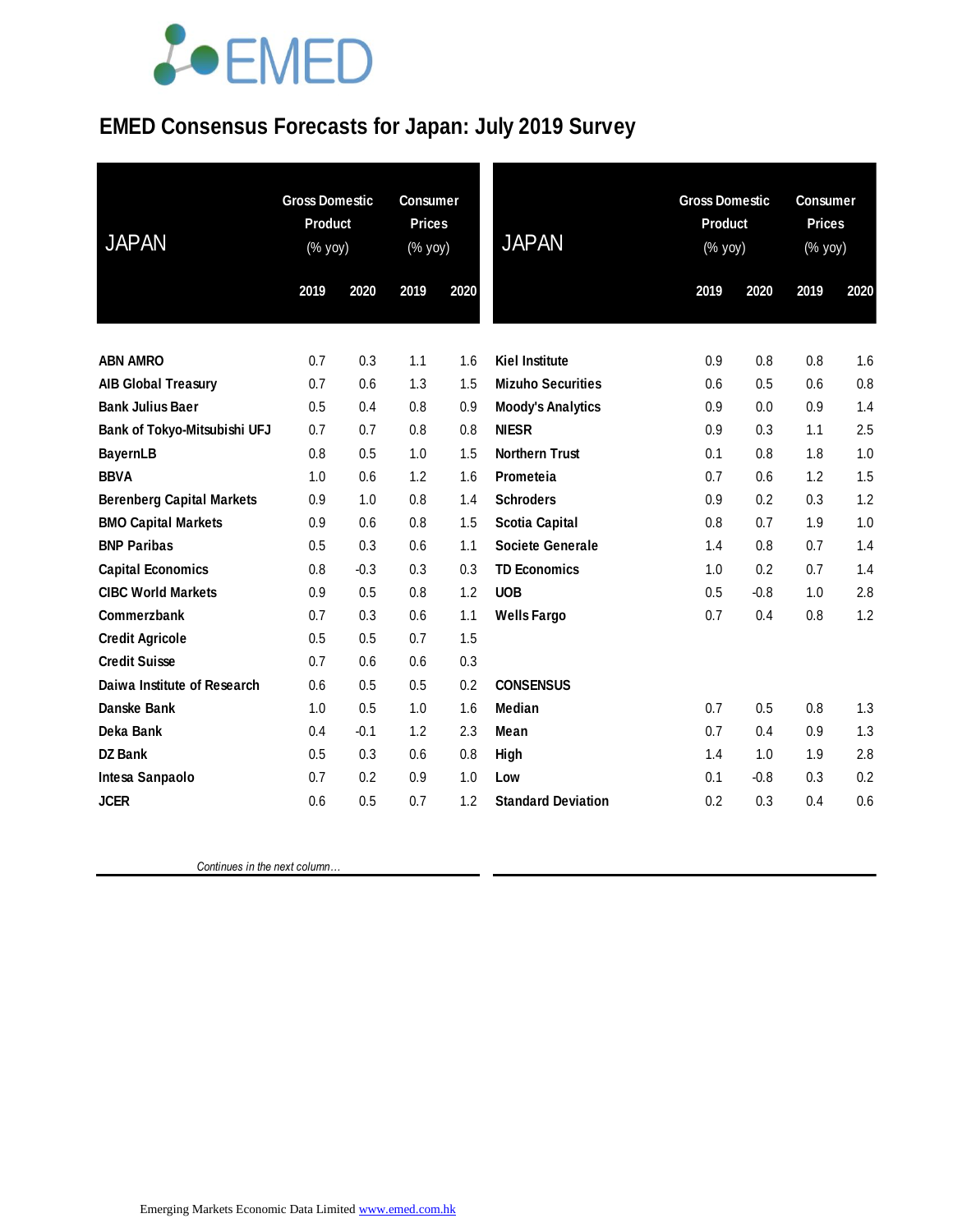### **EMED Consensus Forecasts for Japan: July 2019 Survey**

| <b>JAPAN</b>                     | <b>Gross Domestic</b><br><b>Product</b><br>(% yoy) |        | <b>Consumer</b><br><b>Prices</b><br>(% yoy) |      | <b>JAPAN</b>              | <b>Gross Domestic</b><br><b>Product</b><br>(% yoy) |        | <b>Consumer</b><br><b>Prices</b><br>(% yoy) |      |
|----------------------------------|----------------------------------------------------|--------|---------------------------------------------|------|---------------------------|----------------------------------------------------|--------|---------------------------------------------|------|
|                                  | 2019                                               | 2020   | 2019                                        | 2020 |                           | 2019                                               | 2020   | 2019                                        | 2020 |
|                                  |                                                    |        |                                             |      |                           |                                                    |        |                                             |      |
| <b>ABN AMRO</b>                  | 0.7                                                | 0.3    | 1.1                                         | 1.6  | <b>Kiel Institute</b>     | 0.9                                                | 0.8    | 0.8                                         | 1.6  |
| <b>AIB Global Treasury</b>       | 0.7                                                | 0.6    | 1.3                                         | 1.5  | <b>Mizuho Securities</b>  | 0.6                                                | 0.5    | 0.6                                         | 0.8  |
| <b>Bank Julius Baer</b>          | 0.5                                                | 0.4    | 0.8                                         | 0.9  | <b>Moody's Analytics</b>  | 0.9                                                | 0.0    | 0.9                                         | 1.4  |
| Bank of Tokyo-Mitsubishi UFJ     | 0.7                                                | 0.7    | 0.8                                         | 0.8  | <b>NIESR</b>              | 0.9                                                | 0.3    | 1.1                                         | 2.5  |
| <b>BayernLB</b>                  | 0.8                                                | 0.5    | 1.0                                         | 1.5  | <b>Northern Trust</b>     | 0.1                                                | 0.8    | 1.8                                         | 1.0  |
| <b>BBVA</b>                      | 1.0                                                | 0.6    | 1.2                                         | 1.6  | Prometeia                 | 0.7                                                | 0.6    | 1.2                                         | 1.5  |
| <b>Berenberg Capital Markets</b> | 0.9                                                | 1.0    | 0.8                                         | 1.4  | <b>Schroders</b>          | 0.9                                                | 0.2    | 0.3                                         | 1.2  |
| <b>BMO Capital Markets</b>       | 0.9                                                | 0.6    | 0.8                                         | 1.5  | <b>Scotia Capital</b>     | 0.8                                                | 0.7    | 1.9                                         | 1.0  |
| <b>BNP Paribas</b>               | 0.5                                                | 0.3    | 0.6                                         | 1.1  | <b>Societe Generale</b>   | 1.4                                                | 0.8    | 0.7                                         | 1.4  |
| <b>Capital Economics</b>         | 0.8                                                | $-0.3$ | 0.3                                         | 0.3  | <b>TD Economics</b>       | 1.0                                                | 0.2    | 0.7                                         | 1.4  |
| <b>CIBC World Markets</b>        | 0.9                                                | 0.5    | 0.8                                         | 1.2  | <b>UOB</b>                | 0.5                                                | $-0.8$ | 1.0                                         | 2.8  |
| Commerzbank                      | 0.7                                                | 0.3    | 0.6                                         | 1.1  | <b>Wells Fargo</b>        | 0.7                                                | 0.4    | 0.8                                         | 1.2  |
| <b>Credit Agricole</b>           | 0.5                                                | 0.5    | 0.7                                         | 1.5  |                           |                                                    |        |                                             |      |
| <b>Credit Suisse</b>             | 0.7                                                | 0.6    | 0.6                                         | 0.3  |                           |                                                    |        |                                             |      |
| Daiwa Institute of Research      | 0.6                                                | 0.5    | 0.5                                         | 0.2  | <b>CONSENSUS</b>          |                                                    |        |                                             |      |
| Danske Bank                      | 1.0                                                | 0.5    | 1.0                                         | 1.6  | <b>Median</b>             | 0.7                                                | 0.5    | 0.8                                         | 1.3  |
| Deka Bank                        | 0.4                                                | $-0.1$ | 1.2                                         | 2.3  | Mean                      | 0.7                                                | 0.4    | 0.9                                         | 1.3  |
| DZ Bank                          | 0.5                                                | 0.3    | 0.6                                         | 0.8  | High                      | 1.4                                                | 1.0    | 1.9                                         | 2.8  |
| Intesa Sanpaolo                  | 0.7                                                | 0.2    | 0.9                                         | 1.0  | Low                       | 0.1                                                | $-0.8$ | 0.3                                         | 0.2  |
| <b>JCER</b>                      | 0.6                                                | 0.5    | 0.7                                         | 1.2  | <b>Standard Deviation</b> | 0.2                                                | 0.3    | 0.4                                         | 0.6  |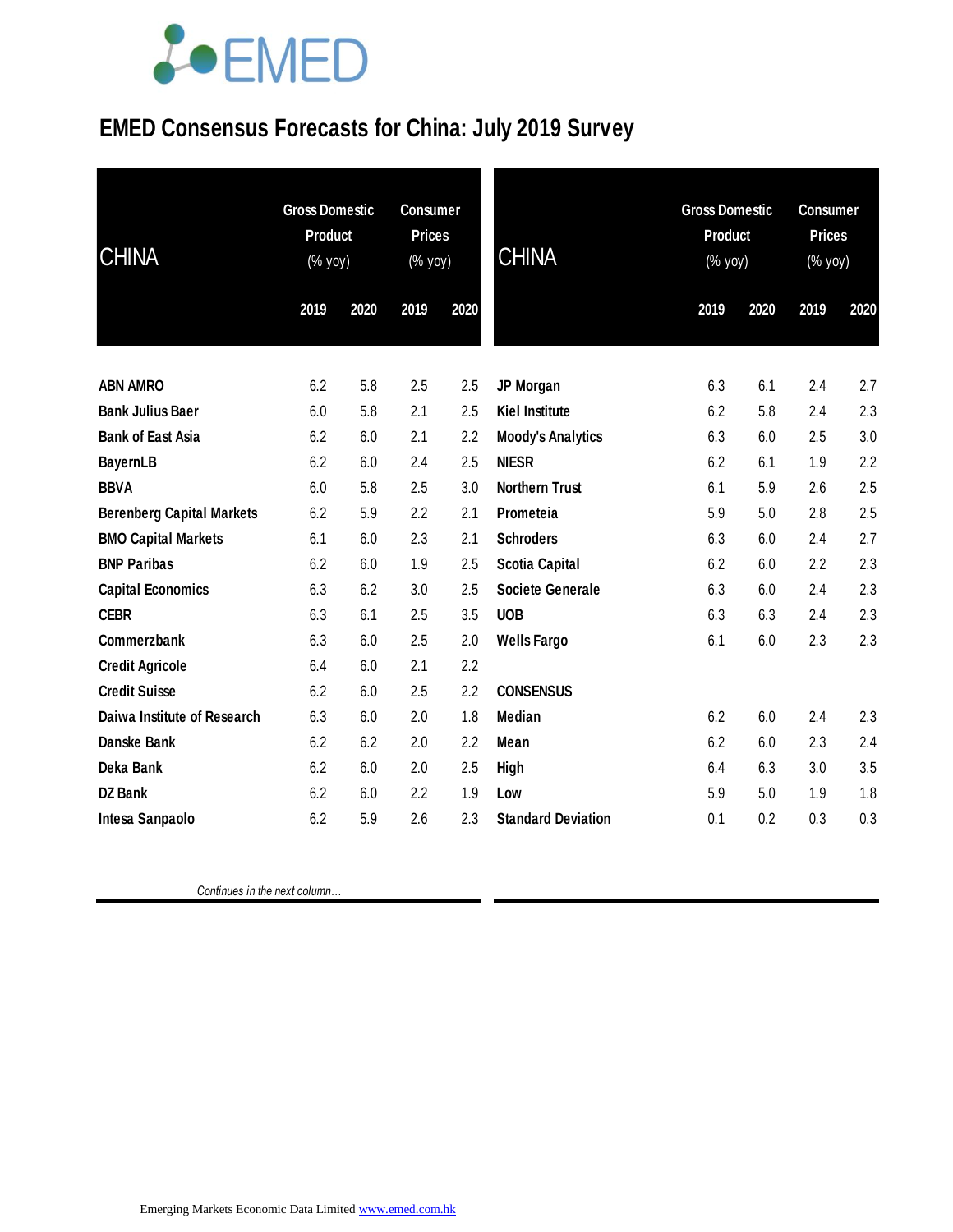### **EMED Consensus Forecasts for China: July 2019 Survey**

| <b>CHINA</b>                     | <b>Gross Domestic</b><br>Product<br>(% yoy) |      | <b>Consumer</b><br><b>Prices</b><br>(% yoy) |      | <b>CHINA</b>              | <b>Gross Domestic</b><br><b>Product</b><br>(% yoy) |      | <b>Consumer</b><br><b>Prices</b><br>(% yoy) |      |
|----------------------------------|---------------------------------------------|------|---------------------------------------------|------|---------------------------|----------------------------------------------------|------|---------------------------------------------|------|
|                                  | 2019                                        | 2020 | 2019                                        | 2020 |                           | 2019                                               | 2020 | 2019                                        | 2020 |
| <b>ABN AMRO</b>                  | 6.2                                         | 5.8  | 2.5                                         | 2.5  | JP Morgan                 | 6.3                                                | 6.1  | 2.4                                         | 2.7  |
| <b>Bank Julius Baer</b>          | 6.0                                         | 5.8  | 2.1                                         | 2.5  | <b>Kiel Institute</b>     | 6.2                                                | 5.8  | 2.4                                         | 2.3  |
| <b>Bank of East Asia</b>         | 6.2                                         | 6.0  | 2.1                                         | 2.2  | <b>Moody's Analytics</b>  | 6.3                                                | 6.0  | 2.5                                         | 3.0  |
| <b>BayernLB</b>                  | 6.2                                         | 6.0  | 2.4                                         | 2.5  | <b>NIESR</b>              | 6.2                                                | 6.1  | 1.9                                         | 2.2  |
| <b>BBVA</b>                      | 6.0                                         | 5.8  | 2.5                                         | 3.0  | <b>Northern Trust</b>     | 6.1                                                | 5.9  | 2.6                                         | 2.5  |
| <b>Berenberg Capital Markets</b> | 6.2                                         | 5.9  | 2.2                                         | 2.1  | Prometeia                 | 5.9                                                | 5.0  | 2.8                                         | 2.5  |
| <b>BMO Capital Markets</b>       | 6.1                                         | 6.0  | 2.3                                         | 2.1  | <b>Schroders</b>          | 6.3                                                | 6.0  | 2.4                                         | 2.7  |
| <b>BNP Paribas</b>               | 6.2                                         | 6.0  | 1.9                                         | 2.5  | <b>Scotia Capital</b>     | 6.2                                                | 6.0  | 2.2                                         | 2.3  |
| <b>Capital Economics</b>         | 6.3                                         | 6.2  | 3.0                                         | 2.5  | <b>Societe Generale</b>   | 6.3                                                | 6.0  | 2.4                                         | 2.3  |
| <b>CEBR</b>                      | 6.3                                         | 6.1  | 2.5                                         | 3.5  | <b>UOB</b>                | 6.3                                                | 6.3  | 2.4                                         | 2.3  |
| Commerzbank                      | 6.3                                         | 6.0  | 2.5                                         | 2.0  | <b>Wells Fargo</b>        | 6.1                                                | 6.0  | 2.3                                         | 2.3  |
| <b>Credit Agricole</b>           | 6.4                                         | 6.0  | 2.1                                         | 2.2  |                           |                                                    |      |                                             |      |
| <b>Credit Suisse</b>             | 6.2                                         | 6.0  | 2.5                                         | 2.2  | <b>CONSENSUS</b>          |                                                    |      |                                             |      |
| Daiwa Institute of Research      | 6.3                                         | 6.0  | 2.0                                         | 1.8  | <b>Median</b>             | 6.2                                                | 6.0  | 2.4                                         | 2.3  |
| <b>Danske Bank</b>               | 6.2                                         | 6.2  | 2.0                                         | 2.2  | <b>Mean</b>               | 6.2                                                | 6.0  | 2.3                                         | 2.4  |
| Deka Bank                        | 6.2                                         | 6.0  | 2.0                                         | 2.5  | <b>High</b>               | 6.4                                                | 6.3  | 3.0                                         | 3.5  |
| <b>DZ Bank</b>                   | 6.2                                         | 6.0  | 2.2                                         | 1.9  | Low                       | 5.9                                                | 5.0  | 1.9                                         | 1.8  |
| Intesa Sanpaolo                  | 6.2                                         | 5.9  | 2.6                                         | 2.3  | <b>Standard Deviation</b> | 0.1                                                | 0.2  | 0.3                                         | 0.3  |